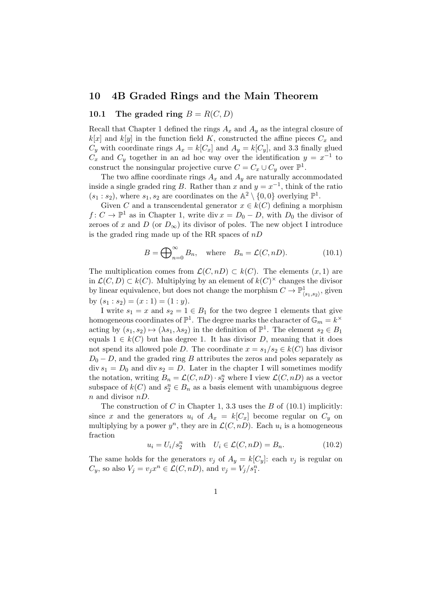# 10 4B Graded Rings and the Main Theorem

### 10.1 The graded ring  $B = R(C, D)$

Recall that Chapter 1 defined the rings  $A_x$  and  $A_y$  as the integral closure of  $k[x]$  and  $k[y]$  in the function field K, constructed the affine pieces  $C_x$  and  $C_y$  with coordinate rings  $A_x = k[C_x]$  and  $A_y = k[C_y]$ , and 3.3 finally glued  $C_x$  and  $C_y$  together in an ad hoc way over the identification  $y = x^{-1}$  to construct the nonsingular projective curve  $C = C_x \cup C_y$  over  $\mathbb{P}^1$ .

The two affine coordinate rings  $A_x$  and  $A_y$  are naturally accommodated inside a single graded ring B. Rather than x and  $y = x^{-1}$ , think of the ratio  $(s_1 : s_2)$ , where  $s_1, s_2$  are coordinates on the  $\mathbb{A}^2 \setminus \{0, 0\}$  overlying  $\mathbb{P}^1$ .

Given C and a transcendental generator  $x \in k(C)$  defining a morphism  $f: C \to \mathbb{P}^1$  as in Chapter 1, write div  $x = D_0 - D$ , with  $D_0$  the divisor of zeroes of x and D (or  $D_{\infty}$ ) its divisor of poles. The new object I introduce is the graded ring made up of the RR spaces of  $nD$ 

$$
B = \bigoplus_{n=0}^{\infty} B_n, \quad \text{where} \quad B_n = \mathcal{L}(C, nD). \tag{10.1}
$$

The multiplication comes from  $\mathcal{L}(C, nD) \subset k(C)$ . The elements  $(x, 1)$  are in  $\mathcal{L}(C, D) \subset k(C)$ . Multiplying by an element of  $k(C)^{\times}$  changes the divisor by linear equivalence, but does not change the morphism  $C \to \mathbb{P}^1_{\langle s_1, s_2 \rangle}$ , given by  $(s_1 : s_2) = (x : 1) = (1 : y)$ .

I write  $s_1 = x$  and  $s_2 = 1 \in B_1$  for the two degree 1 elements that give homogeneous coordinates of  $\mathbb{P}^1$ . The degree marks the character of  $\mathbb{G}_m = k^{\times}$ acting by  $(s_1, s_2) \mapsto (\lambda s_1, \lambda s_2)$  in the definition of  $\mathbb{P}^1$ . The element  $s_2 \in B_1$ equals  $1 \in k(C)$  but has degree 1. It has divisor D, meaning that it does not spend its allowed pole D. The coordinate  $x = s_1/s_2 \in k(C)$  has divisor  $D_0 - D$ , and the graded ring B attributes the zeros and poles separately as  $\text{div } s_1 = D_0$  and  $\text{div } s_2 = D$ . Later in the chapter I will sometimes modify the notation, writing  $B_n = \mathcal{L}(C, nD) \cdot s_2^n$  where I view  $\mathcal{L}(C, nD)$  as a vector subspace of  $k(C)$  and  $s_2^n \in B_n$  as a basis element with unambiguous degree  $n$  and divisor  $nD$ .

The construction of C in Chapter 1, 3.3 uses the B of  $(10.1)$  implicitly: since x and the generators  $u_i$  of  $A_x = k[C_x]$  become regular on  $C_y$  on multiplying by a power  $y^n$ , they are in  $\mathcal{L}(C, nD)$ . Each  $u_i$  is a homogeneous fraction

$$
u_i = U_i/s_2^n \quad \text{with} \quad U_i \in \mathcal{L}(C, nD) = B_n. \tag{10.2}
$$

The same holds for the generators  $v_j$  of  $A_y = k[C_y]$ : each  $v_j$  is regular on  $C_y$ , so also  $V_j = v_j x^n \in \mathcal{L}(C, nD)$ , and  $v_j = V_j/s_1^n$ .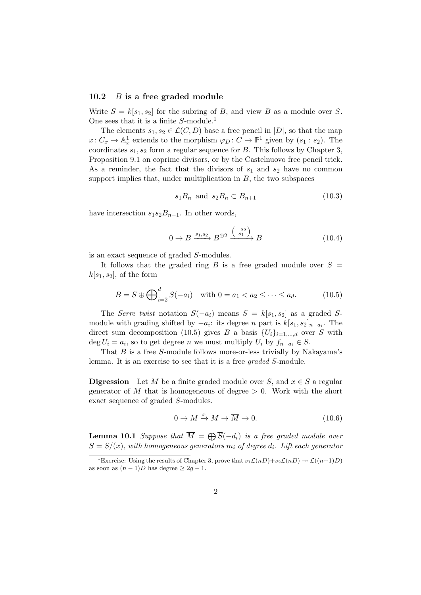#### 10.2 B is a free graded module

Write  $S = k[s_1, s_2]$  for the subring of B, and view B as a module over S. One sees that it is a finite  $S$ -module.<sup>1</sup>

The elements  $s_1, s_2 \in \mathcal{L}(C, D)$  base a free pencil in  $|D|$ , so that the map  $x\colon C_x\to \mathbb{A}^1_x$  extends to the morphism  $\varphi_D\colon C\to \mathbb{P}^1$  given by  $(s_1:s_2)$ . The coordinates  $s_1, s_2$  form a regular sequence for  $B$ . This follows by Chapter 3, Proposition 9.1 on coprime divisors, or by the Castelnuovo free pencil trick. As a reminder, the fact that the divisors of  $s_1$  and  $s_2$  have no common support implies that, under multiplication in  $B$ , the two subspaces

$$
s_1 B_n \quad \text{and} \quad s_2 B_n \subset B_{n+1} \tag{10.3}
$$

have intersection  $s_1s_2B_{n-1}$ . In other words,

$$
0 \to B \xrightarrow{s_1, s_2} B^{\oplus 2} \xrightarrow{\binom{-s_2}{s_1}} B \tag{10.4}
$$

is an exact sequence of graded S-modules.

It follows that the graded ring B is a free graded module over  $S =$  $k[s_1, s_2]$ , of the form

$$
B = S \oplus \bigoplus_{i=2}^{d} S(-a_i) \quad \text{with } 0 = a_1 < a_2 \leq \dots \leq a_d. \tag{10.5}
$$

The Serre twist notation  $S(-a_i)$  means  $S = k[s_1, s_2]$  as a graded Smodule with grading shifted by  $-a_i$ : its degree n part is  $k[s_1, s_2]_{n-a_i}$ . The direct sum decomposition (10.5) gives B a basis  ${U_i}_{i=1,\dots,d}$  over S with  $\deg U_i = a_i$ , so to get degree *n* we must multiply  $U_i$  by  $f_{n-a_i} \in S$ .

That  $B$  is a free  $S$ -module follows more-or-less trivially by Nakayama's lemma. It is an exercise to see that it is a free graded S-module.

**Digression** Let M be a finite graded module over S, and  $x \in S$  a regular generator of M that is homogeneous of degree  $> 0$ . Work with the short exact sequence of graded S-modules.

$$
0 \to M \xrightarrow{x} M \to \overline{M} \to 0. \tag{10.6}
$$

**Lemma 10.1** Suppose that  $\overline{M} = \bigoplus \overline{S}(-d_i)$  is a free graded module over  $\overline{S} = S/(x)$ , with homogeneous generators  $\overline{m}_i$  of degree  $d_i$ . Lift each generator

<sup>&</sup>lt;sup>1</sup>Exercise: Using the results of Chapter 3, prove that  $s_1\mathcal{L}(nD)+s_2\mathcal{L}(nD)\twoheadrightarrow \mathcal{L}((n+1)D)$ as soon as  $(n-1)D$  has degree  $\geq 2q-1$ .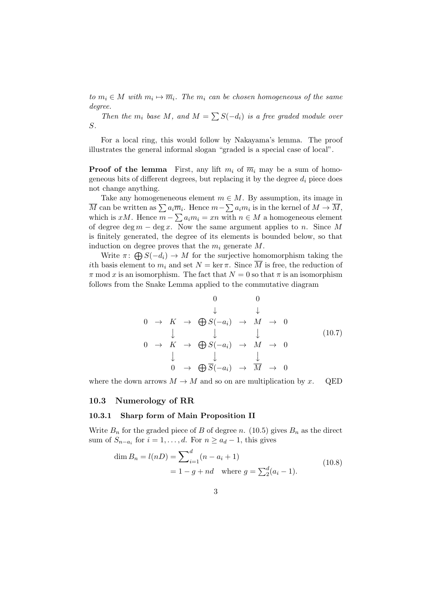to  $m_i \in M$  with  $m_i \mapsto \overline{m}_i$ . The  $m_i$  can be chosen homogeneous of the same degree.

Then the  $m_i$  base M, and  $M = \sum S(-d_i)$  is a free graded module over S.

For a local ring, this would follow by Nakayama's lemma. The proof illustrates the general informal slogan "graded is a special case of local".

**Proof of the lemma** First, any lift  $m_i$  of  $\overline{m}_i$  may be a sum of homogeneous bits of different degrees, but replacing it by the degree  $d_i$  piece does not change anything.

Take any homogeneneous element  $m \in M$ . By assumption, its image in M can be written as  $\sum a_i \overline{m}_i$ . Hence  $m - \sum a_i m_i$  is in the kernel of  $M \to \overline{M}$ , which is  $xM$ . Hence  $m - \sum a_i m_i = xn$  with  $n \in M$  a homogeneous element of degree deg  $m - \deg x$ . Now the same argument applies to n. Since M is finitely generated, the degree of its elements is bounded below, so that induction on degree proves that the  $m_i$  generate  $M$ .

Write  $\pi: \bigoplus S(-d_i) \to M$  for the surjective homomorphism taking the ith basis element to  $m_i$  and set  $N = \ker \pi$ . Since  $\overline{M}$  is free, the reduction of  $\pi$  mod x is an isomorphism. The fact that  $N = 0$  so that  $\pi$  is an isomorphism follows from the Snake Lemma applied to the commutative diagram

$$
\begin{array}{ccccccc}\n & & & & & 0 & & 0 & \\
 & & & & \downarrow & & \downarrow & & \\
0 & \to & K & \to & \bigoplus S(-a_i) & \to & M & \to & 0 & \\
 & & & \downarrow & & \downarrow & & \downarrow & & \\
0 & \to & K & \to & \bigoplus S(-a_i) & \to & M & \to & 0 & \\
 & & & \downarrow & & \downarrow & & & \\
0 & \to & \bigoplus \overline{S}(-a_i) & \to & \overline{M} & \to & 0 & \\
\end{array}
$$
\n(10.7)

where the down arrows  $M \to M$  and so on are multiplication by x. QED

#### 10.3 Numerology of RR

#### 10.3.1 Sharp form of Main Proposition II

Write  $B_n$  for the graded piece of B of degree n. (10.5) gives  $B_n$  as the direct sum of  $S_{n-a_i}$  for  $i = 1, \ldots, d$ . For  $n \ge a_d - 1$ , this gives

$$
\dim B_n = l(nD) = \sum_{i=1}^d (n - a_i + 1)
$$
  
= 1 - g + nd where  $g = \sum_2^d (a_i - 1)$ . (10.8)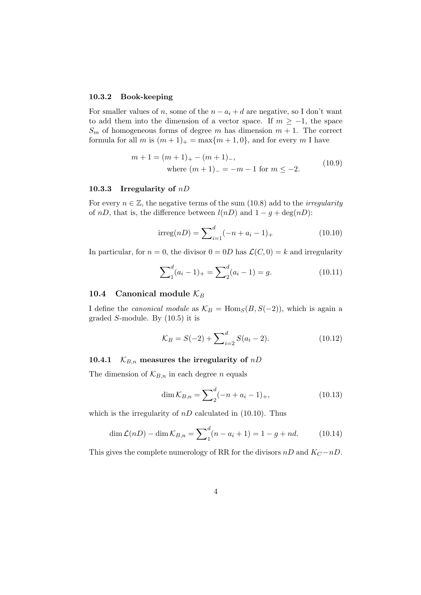#### 10.3.2 Book-keeping

For smaller values of n, some of the  $n - a_i + d$  are negative, so I don't want to add them into the dimension of a vector space. If  $m \ge -1$ , the space  $S_m$  of homogeneous forms of degree m has dimension  $m + 1$ . The correct formula for all m is  $(m+1)_+$  = max $\{m+1,0\}$ , and for every m I have

$$
m + 1 = (m + 1)+ - (m + 1)-,
$$
  
where  $(m + 1)- = -m - 1$  for  $m \le -2$ . (10.9)

#### 10.3.3 Irregularity of  $nD$

For every  $n \in \mathbb{Z}$ , the negative terms of the sum (10.8) add to the *irregularity* of nD, that is, the difference between  $l(nD)$  and  $1 - g + \deg(nD)$ :

$$
irreg(nD) = \sum_{i=1}^{d} (-n + a_i - 1)_+ \tag{10.10}
$$

In particular, for  $n = 0$ , the divisor  $0 = 0D$  has  $\mathcal{L}(C, 0) = k$  and irregularity

$$
\sum_{1}^{d} (a_i - 1)_+ = \sum_{2}^{d} (a_i - 1) = g.
$$
 (10.11)

### 10.4 Canonical module  $\mathcal{K}_B$

I define the *canonical module* as  $\mathcal{K}_B = \text{Hom}_S(B, S(-2))$ , which is again a graded S-module. By (10.5) it is

$$
\mathcal{K}_B = S(-2) + \sum_{i=2}^d S(a_i - 2). \tag{10.12}
$$

#### 10.4.1  $K_{B,n}$  measures the irregularity of nD

The dimension of  $\mathcal{K}_{B,n}$  in each degree *n* equals

$$
\dim \mathcal{K}_{B,n} = \sum_{i=1}^{d} (-n + a_i - 1)_+, \tag{10.13}
$$

which is the irregularity of  $nD$  calculated in (10.10). Thus

$$
\dim \mathcal{L}(n) - \dim \mathcal{K}_{B,n} = \sum_{1}^{d} (n - a_i + 1) = 1 - g + nd. \tag{10.14}
$$

This gives the complete numerology of RR for the divisors nD and  $K_C - nD$ .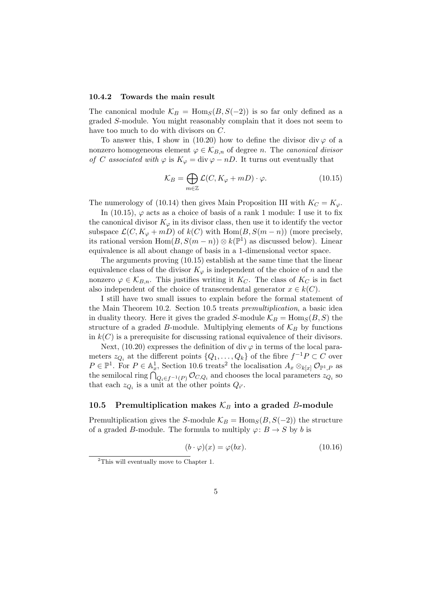#### 10.4.2 Towards the main result

The canonical module  $\mathcal{K}_B = \text{Hom}_S(B, S(-2))$  is so far only defined as a graded S-module. You might reasonably complain that it does not seem to have too much to do with divisors on C.

To answer this, I show in (10.20) how to define the divisor div  $\varphi$  of a nonzero homogeneous element  $\varphi \in \mathcal{K}_{B,n}$  of degree n. The canonical divisor of C associated with  $\varphi$  is  $K_{\varphi} = \text{div }\varphi - nD$ . It turns out eventually that

$$
\mathcal{K}_B = \bigoplus_{m \in \mathbb{Z}} \mathcal{L}(C, K_{\varphi} + mD) \cdot \varphi.
$$
 (10.15)

The numerology of (10.14) then gives Main Proposition III with  $K_C = K_{\varphi}$ .

In (10.15),  $\varphi$  acts as a choice of basis of a rank 1 module: I use it to fix the canonical divisor  $K_{\varphi}$  in its divisor class, then use it to identify the vector subspace  $\mathcal{L}(C, K_{\varphi} + mD)$  of  $k(C)$  with Hom $(B, S(m - n))$  (more precisely, its rational version  $Hom(B, S(m - n)) \otimes k(\mathbb{P}^1)$  as discussed below). Linear equivalence is all about change of basis in a 1-dimensional vector space.

The arguments proving (10.15) establish at the same time that the linear equivalence class of the divisor  $K_{\varphi}$  is independent of the choice of n and the nonzero  $\varphi \in \mathcal{K}_{B,n}$ . This justifies writing it  $K_C$ . The class of  $K_C$  is in fact also independent of the choice of transcendental generator  $x \in k(C)$ .

I still have two small issues to explain before the formal statement of the Main Theorem 10.2. Section 10.5 treats premultiplication, a basic idea in duality theory. Here it gives the graded S-module  $\mathcal{K}_B = \text{Hom}_S(B, S)$  the structure of a graded B-module. Multiplying elements of  $\mathcal{K}_B$  by functions in  $k(C)$  is a prerequisite for discussing rational equivalence of their divisors.

Next, (10.20) expresses the definition of div  $\varphi$  in terms of the local parameters  $z_{Q_i}$  at the different points  $\{Q_1, \ldots, Q_k\}$  of the fibre  $f^{-1}P \subset C$  over  $P \in \mathbb{P}^1$ . For  $P \in \mathbb{A}^1_x$ , Section 10.6 treats<sup>2</sup> the localisation  $A_x \otimes_{k[x]} \mathcal{O}_{\mathbb{P}^1,P}$  as the semilocal ring  $\bigcap_{Q_i \in f^{-1}(P)} \mathcal{O}_{C,Q_i}$  and chooses the local parameters  $z_{Q_i}$  so that each  $z_{Q_i}$  is a unit at the other points  $Q_{i'}$ .

## 10.5 Premultiplication makes  $\mathcal{K}_B$  into a graded B-module

Premultiplication gives the S-module  $\mathcal{K}_B = \text{Hom}_S(B, S(-2))$  the structure of a graded B-module. The formula to multiply  $\varphi: B \to S$  by b is

$$
(b \cdot \varphi)(x) = \varphi(bx). \tag{10.16}
$$

<sup>2</sup>This will eventually move to Chapter 1.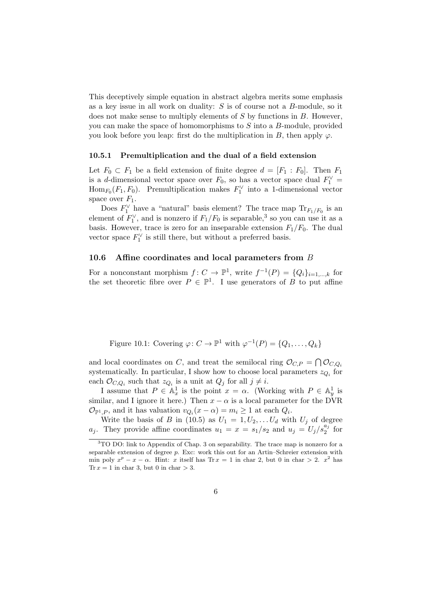This deceptively simple equation in abstract algebra merits some emphasis as a key issue in all work on duality:  $S$  is of course not a  $B$ -module, so it does not make sense to multiply elements of S by functions in B. However, you can make the space of homomorphisms to S into a B-module, provided you look before you leap: first do the multiplication in B, then apply  $\varphi$ .

#### 10.5.1 Premultiplication and the dual of a field extension

Let  $F_0 \subset F_1$  be a field extension of finite degree  $d = [F_1 : F_0]$ . Then  $F_1$ is a *d*-dimensional vector space over  $F_0$ , so has a vector space dual  $F_1^{\vee}$  =  $\text{Hom}_{F_0}(F_1, F_0)$ . Premultiplication makes  $F_1^{\vee}$  into a 1-dimensional vector space over  $F_1$ .

Does  $F_1^{\vee}$  have a "natural" basis element? The trace map  $\text{Tr}_{F_1/F_0}$  is an element of  $F_1^{\vee}$ , and is nonzero if  $F_1/F_0$  is separable,<sup>3</sup> so you can use it as a basis. However, trace is zero for an inseparable extension  $F_1/F_0$ . The dual vector space  $F_1^{\vee}$  is still there, but without a preferred basis.

#### 10.6 Affine coordinates and local parameters from B

For a nonconstant morphism  $f: C \to \mathbb{P}^1$ , write  $f^{-1}(P) = \{Q_i\}_{i=1,\dots,k}$  for the set theoretic fibre over  $P \in \mathbb{P}^1$ . I use generators of B to put affine

Figure 10.1: Covering  $\varphi: C \to \mathbb{P}^1$  with  $\varphi^{-1}(P) = \{Q_1, \ldots, Q_k\}$ 

and local coordinates on C, and treat the semilocal ring  $\mathcal{O}_{C,P} = \bigcap \mathcal{O}_{C,Q_i}$ systematically. In particular, I show how to choose local parameters  $z_{Q_i}$  for each  $\mathcal{O}_{C,Q_i}$  such that  $z_{Q_i}$  is a unit at  $Q_j$  for all  $j \neq i$ .

I assume that  $P \in \mathbb{A}_x^1$  is the point  $x = \alpha$ . (Working with  $P \in \mathbb{A}_y^1$  is similar, and I ignore it here.) Then  $x - \alpha$  is a local parameter for the DVR  $\mathcal{O}_{\mathbb{P}^1,P}$ , and it has valuation  $v_{Q_i}(x-\alpha) = m_i \geq 1$  at each  $Q_i$ .

Write the basis of B in (10.5) as  $U_1 = 1, U_2, \ldots, U_d$  with  $U_j$  of degree  $a_j$ . They provide affine coordinates  $u_1 = x = s_1/s_2$  and  $u_j = U_j/s_2^{a_j}$  for

<sup>3</sup>TO DO: link to Appendix of Chap. 3 on separability. The trace map is nonzero for a separable extension of degree  $p$ . Exc: work this out for an Artin–Schreier extension with min poly  $x^p - x - \alpha$ . Hint: x itself has Tr  $x = 1$  in char 2, but 0 in char > 2.  $x^2$  has Tr  $x = 1$  in char 3, but 0 in char  $> 3$ .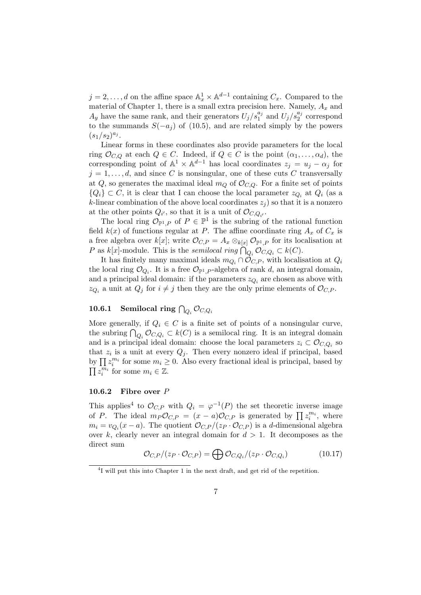$j = 2, \ldots, d$  on the affine space  $\mathbb{A}_x^1 \times \mathbb{A}^{d-1}$  containing  $C_x$ . Compared to the material of Chapter 1, there is a small extra precision here. Namely,  $A_x$  and  $A_y$  have the same rank, and their generators  $U_j/s_1^{a_j}$  and  $U_j/s_2^{a_j}$  correspond to the summands  $S(-a_j)$  of (10.5), and are related simply by the powers  $(s_1/s_2)^{a_j}.$ 

Linear forms in these coordinates also provide parameters for the local ring  $\mathcal{O}_{C,Q}$  at each  $Q \in C$ . Indeed, if  $Q \in C$  is the point  $(\alpha_1, \ldots, \alpha_d)$ , the corresponding point of  $\mathbb{A}^1 \times \mathbb{A}^{d-1}$  has local coordinates  $z_j = u_j - \alpha_j$  for  $j = 1, \ldots, d$ , and since C is nonsingular, one of these cuts C transversally at Q, so generates the maximal ideal  $m_Q$  of  $\mathcal{O}_{C,Q}$ . For a finite set of points  ${Q_i} \subset C$ , it is clear that I can choose the local parameter  $z_{Q_i}$  at  $Q_i$  (as a k-linear combination of the above local coordinates  $z_j$  so that it is a nonzero at the other points  $Q_{i'}$ , so that it is a unit of  $\mathcal{O}_{C,Q_{i'}}$ .

The local ring  $\mathcal{O}_{\mathbb{P}^1,P}$  of  $P \in \mathbb{P}^1$  is the subring of the rational function field  $k(x)$  of functions regular at P. The affine coordinate ring  $A_x$  of  $C_x$  is a free algebra over k[x]; write  $\mathcal{O}_{C,P} = A_x \otimes_{k[x]} \mathcal{O}_{\mathbb{P}^1,P}$  for its localisation at P as  $k[x]$ -module. This is the *semilocal ring*  $\bigcap_{Q_i} \mathcal{O}_{C,Q_i} \subset k(C)$ .

It has finitely many maximal ideals  $m_Q \n\cap \mathcal{O}_{C,P}$ , with localisation at  $Q_i$ the local ring  $\mathcal{O}_{Q_i}$ . It is a free  $\mathcal{O}_{\mathbb{P}^1,P}$ -algebra of rank d, an integral domain, and a principal ideal domain: if the parameters  $z_{Q_i}$  are chosen as above with  $z_{Q_i}$  a unit at  $Q_j$  for  $i \neq j$  then they are the only prime elements of  $\mathcal{O}_{C,P}$ .

# $\begin{array}{cc} \textbf{10.6.1} & \textbf{Semilocal ring } \bigcap_{Q_i} \mathcal{O}_{C,Q_i} \end{array}$

More generally, if  $Q_i \in C$  is a finite set of points of a nonsingular curve, the subring  $\bigcap_{Q_i} \mathcal{O}_{C,Q_i} \subset k(C)$  is a semilocal ring. It is an integral domain and is a principal ideal domain: choose the local parameters  $z_i \subset \mathcal{O}_{C,Q_i}$  so that  $z_i$  is a unit at every  $Q_j$ . Then every nonzero ideal if principal, based by  $\prod z_i^{m_i}$  for some  $m_i \geq 0$ . Also every fractional ideal is principal, based by  $\prod_{i} \overline{z_i^{m_i}}$  for some  $m_i \in \mathbb{Z}$ .

### 10.6.2 Fibre over P

This applies<sup>4</sup> to  $\mathcal{O}_{C,P}$  with  $Q_i = \varphi^{-1}(P)$  the set theoretic inverse image of P. The ideal  $m_P \mathcal{O}_{C,P} = (x-a) \mathcal{O}_{C,P}$  is generated by  $\prod z_i^{m_i}$ , where  $m_i = v_{Q_i}(x-a)$ . The quotient  $\mathcal{O}_{C,P}/(z_P \cdot \mathcal{O}_{C,P})$  is a d-dimensional algebra over k, clearly never an integral domain for  $d > 1$ . It decomposes as the direct sum

$$
\mathcal{O}_{C,P}/(z_P \cdot \mathcal{O}_{C,P}) = \bigoplus \mathcal{O}_{C,Q_i}/(z_P \cdot \mathcal{O}_{C,Q_i}) \tag{10.17}
$$

<sup>&</sup>lt;sup>4</sup>I will put this into Chapter 1 in the next draft, and get rid of the repetition.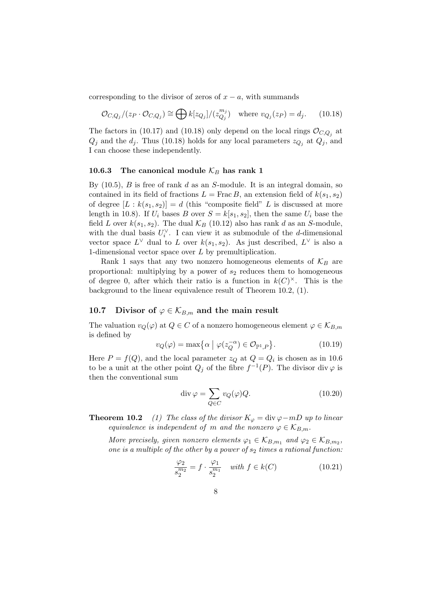corresponding to the divisor of zeros of  $x - a$ , with summands

$$
\mathcal{O}_{C,Q_j}/(z_P \cdot \mathcal{O}_{C,Q_j}) \cong \bigoplus k[z_{Q_j}]/(z_{Q_j}^{m_j}) \quad \text{where } v_{Q_j}(z_P) = d_j. \tag{10.18}
$$

The factors in (10.17) and (10.18) only depend on the local rings  $\mathcal{O}_{C,Q_j}$  at  $Q_j$  and the  $d_j$ . Thus (10.18) holds for any local parameters  $z_{Q_j}$  at  $Q_j$ , and I can choose these independently.

# 10.6.3 The canonical module  $\mathcal{K}_B$  has rank 1

By  $(10.5)$ , B is free of rank d as an S-module. It is an integral domain, so contained in its field of fractions  $L = \text{Frac }B$ , an extension field of  $k(s_1, s_2)$ of degree  $[L : k(s_1, s_2)] = d$  (this "composite field" L is discussed at more length in 10.8). If  $U_i$  bases B over  $S = k[s_1, s_2]$ , then the same  $U_i$  base the field L over  $k(s_1, s_2)$ . The dual  $\mathcal{K}_B$  (10.12) also has rank d as an S-module, with the dual basis  $U_i^{\vee}$ . I can view it as submodule of the *d*-dimensional vector space  $L^{\vee}$  dual to L over  $k(s_1, s_2)$ . As just described,  $L^{\vee}$  is also a 1-dimensional vector space over L by premultiplication.

Rank 1 says that any two nonzero homogeneous elements of  $\mathcal{K}_B$  are proportional: multiplying by a power of  $s_2$  reduces them to homogeneous of degree 0, after which their ratio is a function in  $k(C)^{\times}$ . This is the background to the linear equivalence result of Theorem 10.2, (1).

#### 10.7 Divisor of  $\varphi \in \mathcal{K}_{B,m}$  and the main result

The valuation  $v_Q(\varphi)$  at  $Q \in C$  of a nonzero homogeneous element  $\varphi \in \mathcal{K}_{B,m}$ is defined by

$$
v_Q(\varphi) = \max\left\{\alpha \mid \varphi(z_Q^{-\alpha}) \in \mathcal{O}_{\mathbb{P}^1, P}\right\}.
$$
 (10.19)

Here  $P = f(Q)$ , and the local parameter  $z_Q$  at  $Q = Q_i$  is chosen as in 10.6 to be a unit at the other point  $Q_j$  of the fibre  $f^{-1}(P)$ . The divisor div  $\varphi$  is then the conventional sum

$$
\operatorname{div}\varphi = \sum_{Q \in C} v_Q(\varphi) Q. \tag{10.20}
$$

**Theorem 10.2** (1) The class of the divisor  $K_{\varphi} = \text{div }\varphi - mD$  up to linear equivalence is independent of m and the nonzero  $\varphi \in \mathcal{K}_{B,m}$ .

More precisely, given nonzero elements  $\varphi_1 \in \mathcal{K}_{B,m_1}$  and  $\varphi_2 \in \mathcal{K}_{B,m_2}$ , one is a multiple of the other by a power of  $s_2$  times a rational function:

$$
\frac{\varphi_2}{s_2^{m_2}} = f \cdot \frac{\varphi_1}{s_2^{m_1}} \quad \text{with } f \in k(C) \tag{10.21}
$$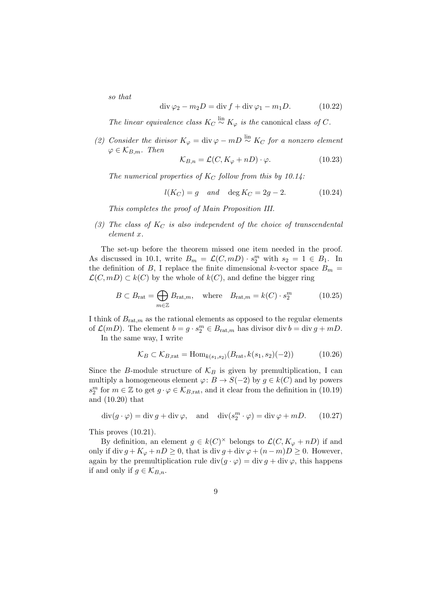so that

$$
\operatorname{div}\varphi_2 - m_2 D = \operatorname{div} f + \operatorname{div}\varphi_1 - m_1 D. \tag{10.22}
$$

The linear equivalence class  $K_C \stackrel{\text{lin}}{\sim} K_{\varphi}$  is the canonical class of C.

(2) Consider the divisor  $K_{\varphi} = \text{div} \varphi - mD \stackrel{\text{lin}}{\sim} K_C$  for a nonzero element  $\varphi \in \mathcal{K}_{B,m}$ . Then

$$
\mathcal{K}_{B,n} = \mathcal{L}(C, K_{\varphi} + nD) \cdot \varphi.
$$
 (10.23)

The numerical properties of  $K_C$  follow from this by 10.14:

$$
l(K_C) = g \quad and \quad \deg K_C = 2g - 2. \tag{10.24}
$$

This completes the proof of Main Proposition III.

(3) The class of  $K_C$  is also independent of the choice of transcendental element x.

The set-up before the theorem missed one item needed in the proof. As discussed in 10.1, write  $B_m = \mathcal{L}(C, mD) \cdot s_2^m$  with  $s_2 = 1 \in B_1$ . In the definition of B, I replace the finite dimensional k-vector space  $B_m$  =  $\mathcal{L}(C, mD) \subset k(C)$  by the whole of  $k(C)$ , and define the bigger ring

$$
B \subset B_{\text{rat}} = \bigoplus_{m \in \mathbb{Z}} B_{\text{rat},m}, \quad \text{where} \quad B_{\text{rat},m} = k(C) \cdot s_2^m \tag{10.25}
$$

I think of  $B_{rat,m}$  as the rational elements as opposed to the regular elements of  $\mathcal{L}(mD)$ . The element  $b = g \cdot s_2^m \in B_{\text{rat},m}$  has divisor div  $b = \text{div } g + mD$ .

In the same way, I write

$$
\mathcal{K}_B \subset \mathcal{K}_{B, \text{rat}} = \text{Hom}_{k(s_1, s_2)}(B_{\text{rat}}, k(s_1, s_2)(-2)) \tag{10.26}
$$

Since the B-module structure of  $\mathcal{K}_B$  is given by premultiplication, I can multiply a homogeneous element  $\varphi: B \to S(-2)$  by  $g \in k(C)$  and by powers  $s_2^m$  for  $m \in \mathbb{Z}$  to get  $g \cdot \varphi \in \mathcal{K}_{B, \text{rat}}$ , and it clear from the definition in (10.19) and (10.20) that

$$
\operatorname{div}(g \cdot \varphi) = \operatorname{div} g + \operatorname{div} \varphi, \quad \text{and} \quad \operatorname{div}(s_2^m \cdot \varphi) = \operatorname{div} \varphi + mD. \tag{10.27}
$$

This proves (10.21).

By definition, an element  $g \in k(C)^{\times}$  belongs to  $\mathcal{L}(C, K_{\varphi} + nD)$  if and only if div  $g + K_{\varphi} + nD \geq 0$ , that is div  $g + \text{div }\varphi + (n - m)D \geq 0$ . However, again by the premultiplication rule div $(g \cdot \varphi) = \text{div } g + \text{div } \varphi$ , this happens if and only if  $g \in \mathcal{K}_{B,n}$ .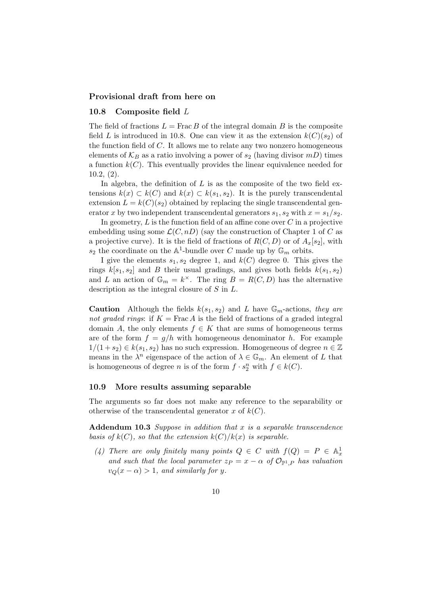### Provisional draft from here on

# 10.8 Composite field L

The field of fractions  $L = \text{Frac } B$  of the integral domain B is the composite field L is introduced in 10.8. One can view it as the extension  $k(C)(s_2)$  of the function field of C. It allows me to relate any two nonzero homogeneous elements of  $\mathcal{K}_B$  as a ratio involving a power of  $s_2$  (having divisor mD) times a function  $k(C)$ . This eventually provides the linear equivalence needed for 10.2, (2).

In algebra, the definition of  $L$  is as the composite of the two field extensions  $k(x) \subset k(C)$  and  $k(x) \subset k(s_1, s_2)$ . It is the purely transcendental extension  $L = k(C)(s_2)$  obtained by replacing the single transcendental generator x by two independent transcendental generators  $s_1$ ,  $s_2$  with  $x = s_1/s_2$ .

In geometry,  $L$  is the function field of an affine cone over  $C$  in a projective embedding using some  $\mathcal{L}(C, nD)$  (say the construction of Chapter 1 of C as a projective curve). It is the field of fractions of  $R(C, D)$  or of  $A_x[s_2]$ , with  $s_2$  the coordinate on the  $\mathbb{A}^1$ -bundle over C made up by  $\mathbb{G}_m$  orbits.

I give the elements  $s_1, s_2$  degree 1, and  $k(C)$  degree 0. This gives the rings  $k[s_1, s_2]$  and B their usual gradings, and gives both fields  $k(s_1, s_2)$ and L an action of  $\mathbb{G}_m = k^{\times}$ . The ring  $B = R(C, D)$  has the alternative description as the integral closure of S in L.

**Caution** Although the fields  $k(s_1, s_2)$  and L have  $\mathbb{G}_m$ -actions, they are not graded rings: if  $K = \text{Frac } A$  is the field of fractions of a graded integral domain A, the only elements  $f \in K$  that are sums of homogeneous terms are of the form  $f = g/h$  with homogeneous denominator h. For example  $1/(1 + s_2) \in k(s_1, s_2)$  has no such expression. Homogeneous of degree  $n \in \mathbb{Z}$ means in the  $\lambda^n$  eigenspace of the action of  $\lambda \in \mathbb{G}_m$ . An element of L that is homogeneous of degree *n* is of the form  $f \cdot s_2^n$  with  $f \in k(C)$ .

#### 10.9 More results assuming separable

The arguments so far does not make any reference to the separability or otherwise of the transcendental generator x of  $k(C)$ .

Addendum 10.3 Suppose in addition that  $x$  is a separable transcendence basis of  $k(C)$ , so that the extension  $k(C)/k(x)$  is separable.

(4) There are only finitely many points  $Q \in C$  with  $f(Q) = P \in A_x^1$ and such that the local parameter  $z_P = x - \alpha$  of  $\mathcal{O}_{\mathbb{P}^1,P}$  has valuation  $v_Q(x-\alpha) > 1$ , and similarly for y.